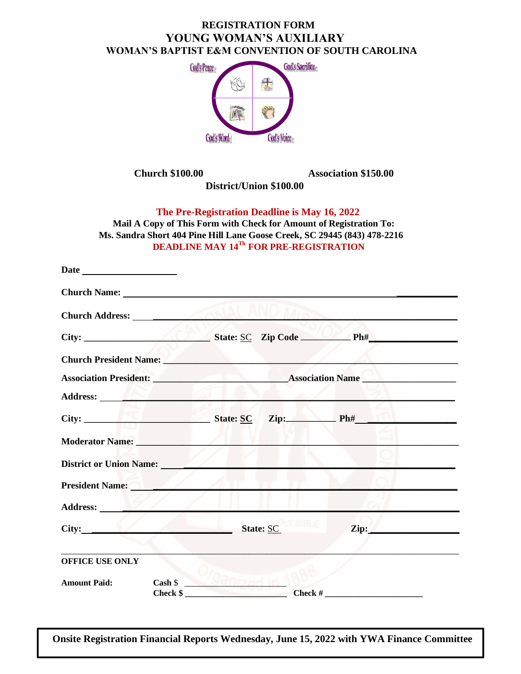## **REGISTRATION FORM YOUNG WOMAN'S AUXILIARY WOMAN'S BAPTIST E&M CONVENTION OF SOUTH CAROLINA**



 **Church \$100.00 Association \$150.00** 

 **District/Union \$100.00**

 **The Pre-Registration Deadline is May 16, 2022**

 **Mail A Copy of This Form with Check for Amount of Registration To: Ms. Sandra Short 404 Pine Hill Lane Goose Creek, SC 29445 (843) 478-2216 DEADLINE MAY 14Th FOR PRE-REGISTRATION**

|                         | Church President Name: Name:                                                                                                                                                                                                   |               |           |                                                             |                 |
|-------------------------|--------------------------------------------------------------------------------------------------------------------------------------------------------------------------------------------------------------------------------|---------------|-----------|-------------------------------------------------------------|-----------------|
|                         |                                                                                                                                                                                                                                |               |           |                                                             |                 |
|                         | Address: No. 1986. The Contract of the Contract of the Contract of the Contract of the Contract of the Contract of the Contract of the Contract of the Contract of the Contract of the Contract of the Contract of the Contrac |               |           |                                                             |                 |
|                         |                                                                                                                                                                                                                                |               |           |                                                             |                 |
| Moderator Name:         |                                                                                                                                                                                                                                |               |           |                                                             |                 |
| District or Union Name: |                                                                                                                                                                                                                                |               |           |                                                             |                 |
| <b>President Name:</b>  |                                                                                                                                                                                                                                |               |           |                                                             |                 |
| Address:                |                                                                                                                                                                                                                                |               |           |                                                             |                 |
| City:                   | the contract of the contract of the contract of                                                                                                                                                                                |               | State: SC |                                                             | $\mathbf{Zip:}$ |
| OFFICE USE ONLY         |                                                                                                                                                                                                                                |               |           |                                                             |                 |
| <b>Amount Paid:</b>     | $\cosh \theta$                                                                                                                                                                                                                 | $8.9911780 -$ |           | Check $\frac{1}{2}$ Check $\frac{1}{2}$ Check $\frac{1}{2}$ |                 |

**Onsite Registration Financial Reports Wednesday, June 15, 2022 with YWA Finance Committee**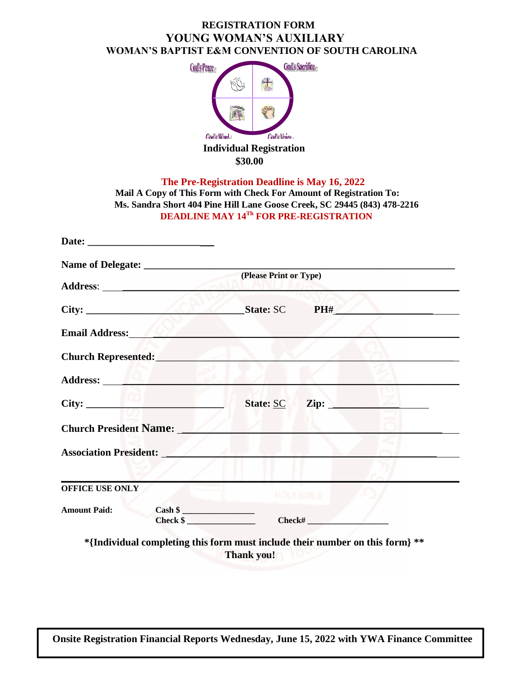## **REGISTRATION FORM YOUNG WOMAN'S AUXILIARY WOMAN'S BAPTIST E&M CONVENTION OF SOUTH CAROLINA**



 **\$30.00**

 **The Pre-Registration Deadline is May 16, 2022**

 **Mail A Copy of This Form with Check For Amount of Registration To: Ms. Sandra Short 404 Pine Hill Lane Goose Creek, SC 29445 (843) 478-2216 DEADLINE MAY 14Th FOR PRE-REGISTRATION**

|                               | (Please Print or Type)                                                                            |
|-------------------------------|---------------------------------------------------------------------------------------------------|
| City:                         | State: SC PH#                                                                                     |
| Email Address:                |                                                                                                   |
| <b>Church Represented:</b>    |                                                                                                   |
|                               |                                                                                                   |
| City: City:                   | $\mathbf{Zip:}$<br>State: SC                                                                      |
| <b>Church President Name:</b> |                                                                                                   |
| <b>Association President:</b> |                                                                                                   |
|                               |                                                                                                   |
| <b>OFFICE USE ONLY</b>        | <b>HOLY BIBLE</b>                                                                                 |
| <b>Amount Paid:</b>           | $\frac{1}{2}$ Check \$                                                                            |
|                               | *{Individual completing this form must include their number on this form} **<br><b>Thank you!</b> |

**Onsite Registration Financial Reports Wednesday, June 15, 2022 with YWA Finance Committee**